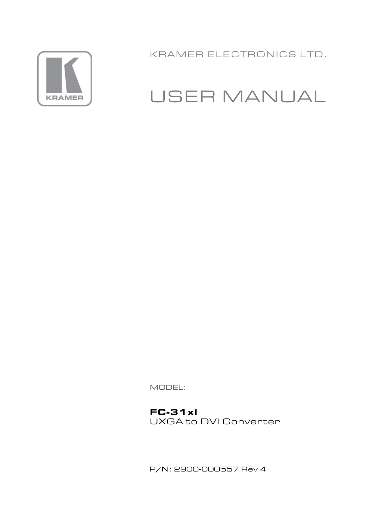

KRAMER ELECTRONICS LTD.

# **USER MANUAL**

MODEL:

 $FC-31xI$ UXGA to DVI Converter

P/N: 2900-000557 Rev 4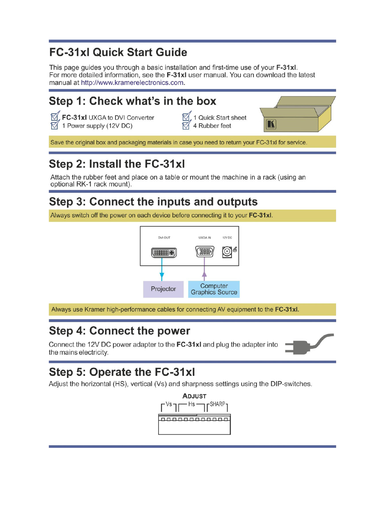## **FC-31xl Quick Start Guide**

This page guides you through a basic installation and first-time use of your F-31xl. For more detailed information, see the F-31xI user manual. You can download the latest manual at http://www.kramerelectronics.com.



## Step 2: Install the FC-31xl

Attach the rubber feet and place on a table or mount the machine in a rack (using an optional RK-1 rack mount).

## Step 3: Connect the inputs and outputs

Always switch off the power on each device before connecting it to your **FC-31xl**.



Always use Kramer high-performance cables for connecting AV equipment to the FC-31xI.

## **Step 4: Connect the power**

Connect the 12V DC power adapter to the FC-31xI and plug the adapter into the mains electricity.



## Step 5: Operate the FC-31xl

Adjust the horizontal (HS), vertical (Vs) and sharpness settings using the DIP-switches.

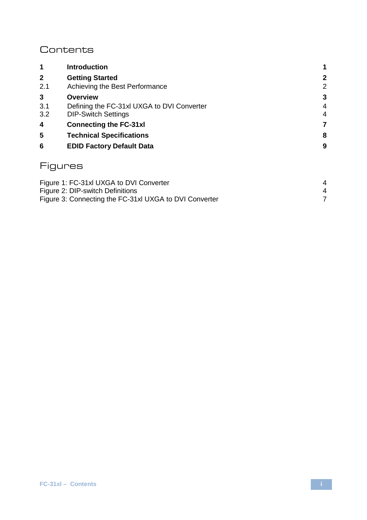## **Contents**

| 1            | <b>Introduction</b>                                                      | 1      |
|--------------|--------------------------------------------------------------------------|--------|
| $\mathbf{2}$ | <b>Getting Started</b>                                                   | 2      |
| 2.1          | Achieving the Best Performance                                           | 2      |
| 3            | Overview                                                                 | 3      |
| 3.1<br>3.2   | Defining the FC-31xl UXGA to DVI Converter<br><b>DIP-Switch Settings</b> | 4<br>4 |
| 4            | <b>Connecting the FC-31xl</b>                                            | 7      |
| 5            | <b>Technical Specifications</b>                                          | 8      |
| 6            | <b>EDID Factory Default Data</b>                                         | 9      |
|              | Figures                                                                  |        |
|              | Figure 1: FC-31xl UXGA to DVI Converter                                  | 4      |

*<sup>U</sup>*[Figure 2: DIP-switch Definitions](#page-6-3)*<sup>U</sup>* 4 [Figure 3: Connecting the FC-31xl UXGA to DVI Converter](#page-9-1)<br>
T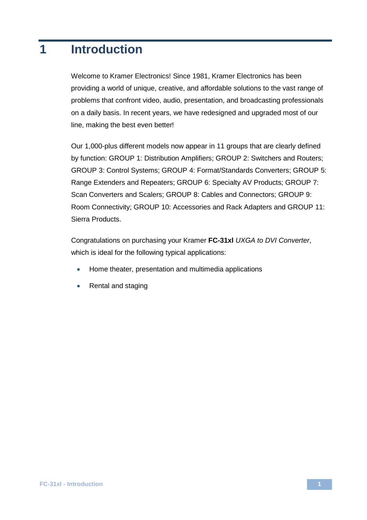## <span id="page-3-0"></span>**1 Introduction**

Welcome to Kramer Electronics! Since 1981, Kramer Electronics has been providing a world of unique, creative, and affordable solutions to the vast range of problems that confront video, audio, presentation, and broadcasting professionals on a daily basis. In recent years, we have redesigned and upgraded most of our line, making the best even better!

Our 1,000-plus different models now appear in 11 groups that are clearly defined by function: GROUP 1: Distribution Amplifiers; GROUP 2: Switchers and Routers; GROUP 3: Control Systems; GROUP 4: Format/Standards Converters; GROUP 5: Range Extenders and Repeaters; GROUP 6: Specialty AV Products; GROUP 7: Scan Converters and Scalers; GROUP 8: Cables and Connectors; GROUP 9: Room Connectivity; GROUP 10: Accessories and Rack Adapters and GROUP 11: Sierra Products.

Congratulations on purchasing your Kramer **FC-31xl** *UXGA to DVI Converter*, which is ideal for the following typical applications:

- Home theater, presentation and multimedia applications
- Rental and staging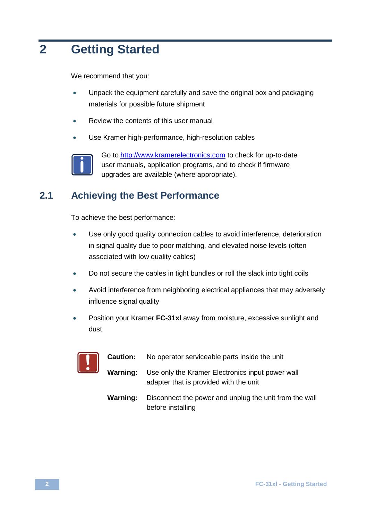## <span id="page-4-0"></span>**2 Getting Started**

We recommend that you:

- Unpack the equipment carefully and save the original box and packaging materials for possible future shipment
- Review the contents of this user manual
- Use Kramer high-performance, high-resolution cables



Go t[o http://www.kramerelectronics.com](www.kramerelectronics.com) to check for up-to-date user manuals, application programs, and to check if firmware upgrades are available (where appropriate).

## <span id="page-4-1"></span>**2.1 Achieving the Best Performance**

To achieve the best performance:

- Use only good quality connection cables to avoid interference, deterioration in signal quality due to poor matching, and elevated noise levels (often associated with low quality cables)
- Do not secure the cables in tight bundles or roll the slack into tight coils
- Avoid interference from neighboring electrical appliances that may adversely influence signal quality
- Position your Kramer **FC-31xl** away from moisture, excessive sunlight and dust



- **Caution:** No operator serviceable parts inside the unit
- **Warning:** Use only the Kramer Electronics input power wall adapter that is provided with the unit
- **Warning:** Disconnect the power and unplug the unit from the wall before installing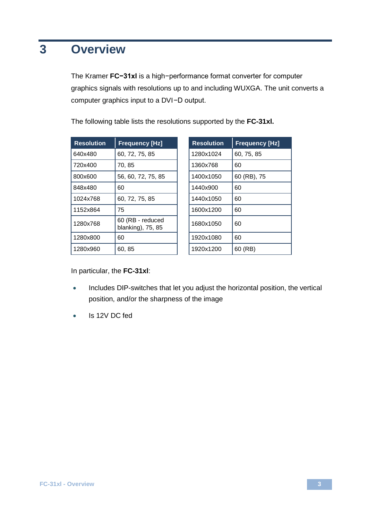## <span id="page-5-0"></span>**3 Overview**

The Kramer **FC−31xl** is a high−performance format converter for computer graphics signals with resolutions up to and including WUXGA. The unit converts a computer graphics input to a DVI−D output.

| <b>Resolution</b> | <b>Frequency [Hz]</b>                 | <b>Resolution</b> | <b>Frequency [Hz]</b> |
|-------------------|---------------------------------------|-------------------|-----------------------|
| 640x480           | 60, 72, 75, 85                        | 1280x1024         | 60, 75, 85            |
| 720x400           | 70, 85                                | 1360x768          | 60                    |
| 800x600           | 56, 60, 72, 75, 85                    | 1400x1050         | 60 (RB), 75           |
| 848x480           | 60                                    | 1440x900          | 60                    |
| 1024x768          | 60, 72, 75, 85                        | 1440x1050         | 60                    |
| 1152x864          | 75                                    | 1600x1200         | 60                    |
| 1280x768          | 60 (RB - reduced<br>blanking), 75, 85 | 1680x1050         | 60                    |
| 1280x800          | 60                                    | 1920x1080         | 60                    |
| 1280x960          | 60, 85                                | 1920x1200         | 60 (RB)               |

| <b>Resolution</b> | <b>Frequency [Hz]</b> |
|-------------------|-----------------------|
| 1280x1024         | 60, 75, 85            |
| 1360x768          | 60                    |
| 1400x1050         | 60 (RB), 75           |
| 1440x900          | 60                    |
| 1440x1050         | 60                    |
| 1600x1200         | 60                    |
| 1680x1050         | 60                    |
| 1920x1080         | 60                    |
| 1920x1200         | 60 (RB)               |

The following table lists the resolutions supported by the **FC-31xl.**

In particular, the **FC-31xl**:

- Includes DIP-switches that let you adjust the horizontal position, the vertical position, and/or the sharpness of the image
- Is 12V DC fed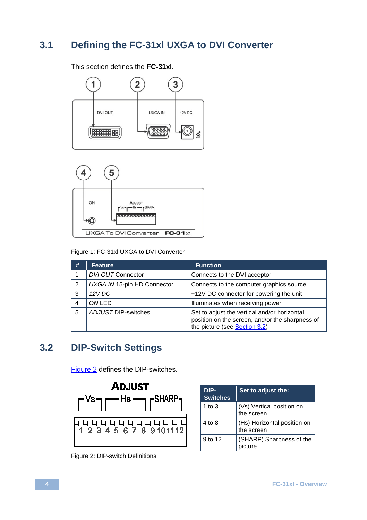## <span id="page-6-0"></span>**3.1 Defining the FC-31xl UXGA to DVI Converter**

This section defines the **FC-31xl**.





<span id="page-6-2"></span>Figure 1: FC-31xl UXGA to DVI Converter

| # | Feature                     | <b>Function</b>                                                                                                                         |
|---|-----------------------------|-----------------------------------------------------------------------------------------------------------------------------------------|
|   | DVI OUT Connector           | Connects to the DVI acceptor                                                                                                            |
| 2 | UXGA IN 15-pin HD Connector | Connects to the computer graphics source                                                                                                |
| 3 | 12VDC                       | +12V DC connector for powering the unit                                                                                                 |
| 4 | ONLED                       | Illuminates when receiving power                                                                                                        |
| 5 | ADJUST DIP-switches         | Set to adjust the vertical and/or horizontal<br>position on the screen, and/or the sharpness of<br>the picture (see <b>Section 3.2)</b> |

## <span id="page-6-1"></span>**3.2 DIP-Switch Settings**

[Figure 2](#page-6-3) defines the DIP-switches.



| DIP-<br><b>Switches</b> | Set to adjust the:                        |
|-------------------------|-------------------------------------------|
| 1 to $3$                | (Vs) Vertical position on<br>the screen   |
| 4 to 8                  | (Hs) Horizontal position on<br>the screen |
| 9 to 12                 | (SHARP) Sharpness of the<br>picture       |

<span id="page-6-3"></span>Figure 2: DIP-switch Definitions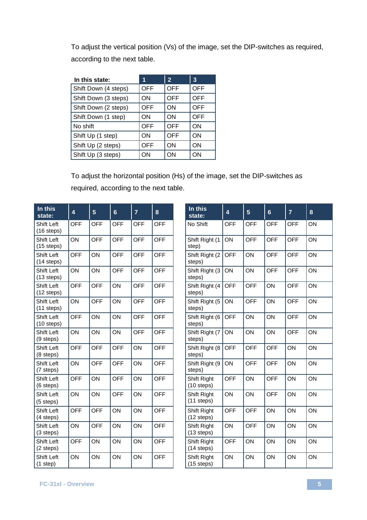To adjust the vertical position (Vs) of the image, set the DIP-switches as required, according to the next table.

| In this state:       | 1          | $\overline{2}$ | 3          |
|----------------------|------------|----------------|------------|
| Shift Down (4 steps) | <b>OFF</b> | <b>OFF</b>     | <b>OFF</b> |
| Shift Down (3 steps) | ON         | OFF            | OFF        |
| Shift Down (2 steps) | OFF        | ON             | OFF        |
| Shift Down (1 step)  | ON         | ON             | OFF        |
| No shift             | OFF        | OFF            | ON         |
| Shift Up (1 step)    | ON         | OFF            | ON         |
| Shift Up (2 steps)   | OFF        | ON             | ON         |
| Shift Up (3 steps)   | ON         | ON             | ON         |

To adjust the horizontal position (Hs) of the image, set the DIP-switches as required, according to the next table.

| In this<br>state:          | 4   | 5   | $6\phantom{1}$ | $\overline{7}$ | 8          | In this<br>state:                  | $\overline{\mathbf{4}}$ | 5   | $6\phantom{1}$ | $\overline{7}$ | 8  |
|----------------------------|-----|-----|----------------|----------------|------------|------------------------------------|-------------------------|-----|----------------|----------------|----|
| Shift Left<br>$(16$ steps) | OFF | OFF | OFF            | OFF            | OFF        | No Shift                           | OFF                     | OFF | OFF            | OFF            | ON |
| Shift Left<br>$(15$ steps) | ON  | OFF | OFF            | OFF            | OFF        | Shift Right (1<br>step)            | ON                      | OFF | OFF            | OFF            | ON |
| Shift Left<br>$(14$ steps) | OFF | ON  | OFF            | OFF            | OFF        | Shift Right (2<br>steps)           | OFF                     | ON  | OFF            | OFF            | ON |
| Shift Left<br>$(13$ steps) | ON  | ON  | OFF            | <b>OFF</b>     | OFF        | Shift Right (3<br>steps)           | ON                      | ON  | <b>OFF</b>     | OFF            | ON |
| Shift Left<br>$(12$ steps) | OFF | OFF | ON             | OFF            | <b>OFF</b> | Shift Right (4<br>steps)           | OFF                     | OFF | ON             | OFF            | ON |
| Shift Left<br>$(11$ steps) | ON  | OFF | ON             | OFF            | OFF        | Shift Right (5<br>steps)           | ON                      | OFF | ON             | OFF            | ON |
| Shift Left<br>$(10$ steps) | OFF | ON  | ON             | OFF            | OFF        | Shift Right (6<br>steps)           | OFF                     | ON  | ON             | OFF            | ON |
| Shift Left<br>(9 steps)    | ON  | ON  | ON             | OFF            | OFF        | Shift Right (7<br>steps)           | ON                      | ON  | ON             | OFF            | ON |
| Shift Left<br>(8 steps)    | OFF | OFF | OFF            | ON             | OFF        | Shift Right (8<br>steps)           | OFF                     | OFF | OFF            | ON             | ON |
| Shift Left<br>(7 steps)    | ON  | OFF | OFF            | ON             | OFF        | Shift Right (9<br>steps)           | ON                      | OFF | OFF            | ON             | ON |
| Shift Left<br>(6 steps)    | OFF | ON  | OFF            | ON             | OFF        | Shift Right<br>$(10$ steps)        | OFF                     | ON  | OFF            | ON             | ON |
| Shift Left<br>$(5$ steps)  | ON  | ON  | OFF            | ON             | OFF        | Shift Right<br>$(11$ steps)        | ON                      | ON  | OFF            | ON             | ON |
| Shift Left<br>(4 steps)    | OFF | OFF | ON             | ON             | OFF        | Shift Right<br>$(12$ steps)        | OFF                     | OFF | ON             | ON             | ON |
| Shift Left<br>(3 steps)    | ON  | OFF | ON             | ON             | OFF        | Shift Right<br>$(13$ steps)        | ON                      | OFF | ON             | ON             | ON |
| Shift Left<br>(2 steps)    | OFF | ON  | ON             | ON             | OFF        | Shift Right<br>$(14$ steps)        | <b>OFF</b>              | ON  | ON             | ON             | ON |
| Shift Left<br>(1 step)     | ON  | ON  | ON             | ON             | OFF        | <b>Shift Right</b><br>$(15$ steps) | ON                      | ON  | ON             | ON             | ON |

| In this<br>state:           | 4          | 5          | 6          | 7   | 8  |
|-----------------------------|------------|------------|------------|-----|----|
| No Shift                    | <b>OFF</b> | <b>OFF</b> | OFF        | OFF | ON |
| Shift Right (1<br>step)     | ON         | OFF        | OFF        | OFF | ON |
| Shift Right (2)<br>steps)   | <b>OFF</b> | ON         | OFF        | OFF | ON |
| Shift Right (3<br>steps)    | ON         | ON         | OFF        | OFF | ON |
| Shift Right (4<br>steps)    | OFF        | OFF        | ON         | OFF | ON |
| Shift Right (5<br>steps)    | ON         | OFF        | ON         | OFF | ON |
| Shift Right (6<br>steps)    | OFF        | ON         | ON         | OFF | ON |
| Shift Right (7<br>steps)    | ON         | ON         | ON         | OFF | ON |
| Shift Right (8<br>steps)    | OFF        | OFF        | OFF        | ON  | ON |
| Shift Right (9<br>steps)    | ON         | OFF        | OFF        | ON  | ON |
| Shift Right<br>$(10$ steps) | OFF        | ON         | <b>OFF</b> | ON  | ON |
| Shift Right<br>$(11$ steps) | ON         | ON         | OFF        | ON  | ON |
| Shift Right<br>$(12$ steps) | OFF        | OFF        | ON         | ON  | ON |
| Shift Right<br>$(13$ steps) | ON         | OFF        | ON         | ON  | ON |
| Shift Right<br>$(14$ steps) | OFF        | ON         | ON         | ON  | ON |
| Shift Right<br>$(15$ steps) | ON         | ON         | ON         | ON  | ON |

the control of the control of the control of the control of the control of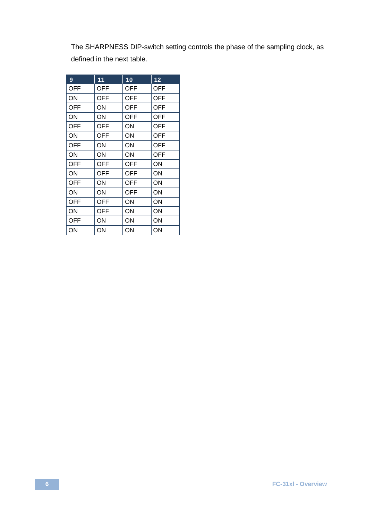The SHARPNESS DIP-switch setting controls the phase of the sampling clock, as defined in the next table.

| 9          | 11         | 10         | 12         |
|------------|------------|------------|------------|
| <b>OFF</b> | <b>OFF</b> | <b>OFF</b> | <b>OFF</b> |
| ON         | <b>OFF</b> | OFF        | <b>OFF</b> |
| <b>OFF</b> | ON         | <b>OFF</b> | <b>OFF</b> |
| ON         | ON         | <b>OFF</b> | <b>OFF</b> |
| <b>OFF</b> | <b>OFF</b> | ON         | <b>OFF</b> |
| ON         | <b>OFF</b> | ON         | <b>OFF</b> |
| <b>OFF</b> | ON         | ON         | <b>OFF</b> |
| ON         | OΝ         | ON         | OFF        |
| <b>OFF</b> | <b>OFF</b> | <b>OFF</b> | ON         |
| ON         | <b>OFF</b> | OFF        | ON         |
| <b>OFF</b> | OΝ         | OFF        | ON         |
| ON         | ON         | <b>OFF</b> | ON         |
| OFF        | <b>OFF</b> | ON         | ON         |
| ON         | <b>OFF</b> | ON         | ON         |
| <b>OFF</b> | OΝ         | ON         | ON         |
| ON         | ON         | ON         | ON         |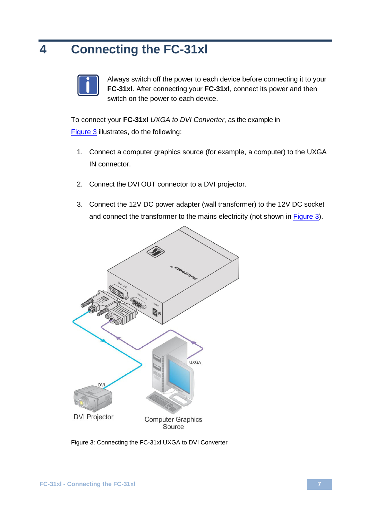# <span id="page-9-0"></span>**4 Connecting the FC-31xl**



Always switch off the power to each device before connecting it to your **FC-31xl**. After connecting your **FC-31xl**, connect its power and then switch on the power to each device.

To connect your **FC-31xl** *UXGA to DVI Converter*, as the example in [Figure 3](#page-9-1) illustrates, do the following:

- 1. Connect a computer graphics source (for example, a computer) to the UXGA IN connector.
- 2. Connect the DVI OUT connector to a DVI projector.
- 3. Connect the 12V DC power adapter (wall transformer) to the 12V DC socket and connect the transformer to the mains electricity (not shown i[n Figure 3\)](#page-9-1).



<span id="page-9-1"></span>Figure 3: Connecting the FC-31xl UXGA to DVI Converter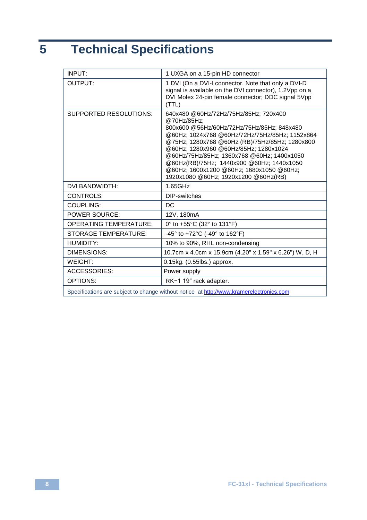# <span id="page-10-0"></span>**5 Technical Specifications**

| INPUT:                                                                                  | 1 UXGA on a 15-pin HD connector                                                                                                                                                                                                                                                                                                                                                                                                |  |  |  |
|-----------------------------------------------------------------------------------------|--------------------------------------------------------------------------------------------------------------------------------------------------------------------------------------------------------------------------------------------------------------------------------------------------------------------------------------------------------------------------------------------------------------------------------|--|--|--|
| OUTPUT:                                                                                 | 1 DVI (On a DVI-I connector. Note that only a DVI-D<br>signal is available on the DVI connector), 1.2Vpp on a<br>DVI Molex 24-pin female connector; DDC signal 5Vpp<br>(TTL)                                                                                                                                                                                                                                                   |  |  |  |
| SUPPORTED RESOLUTIONS:                                                                  | 640x480 @60Hz/72Hz/75Hz/85Hz; 720x400<br>@70Hz/85Hz:<br>800x600 @56Hz/60Hz/72Hz/75Hz/85Hz: 848x480<br>@60Hz; 1024x768 @60Hz/72Hz/75Hz/85Hz; 1152x864<br>@75Hz; 1280x768 @60Hz (RB)/75Hz/85Hz; 1280x800<br>@60Hz; 1280x960 @60Hz/85Hz; 1280x1024<br>@60Hz/75Hz/85Hz: 1360x768 @60Hz: 1400x1050<br>@60Hz(RB)/75Hz; 1440x900 @60Hz; 1440x1050<br>@60Hz; 1600x1200 @60Hz; 1680x1050 @60Hz;<br>1920x1080 @60Hz; 1920x1200 @60Hz(RB) |  |  |  |
| DVI BANDWIDTH:                                                                          | 1.65GHz                                                                                                                                                                                                                                                                                                                                                                                                                        |  |  |  |
| CONTROLS:                                                                               | DIP-switches                                                                                                                                                                                                                                                                                                                                                                                                                   |  |  |  |
| COUPLING:                                                                               | DC                                                                                                                                                                                                                                                                                                                                                                                                                             |  |  |  |
| <b>POWER SOURCE:</b>                                                                    | 12V, 180mA                                                                                                                                                                                                                                                                                                                                                                                                                     |  |  |  |
| <b>OPERATING TEMPERATURE:</b>                                                           | 0° to +55°C (32° to 131°F)                                                                                                                                                                                                                                                                                                                                                                                                     |  |  |  |
| <b>STORAGE TEMPERATURE:</b>                                                             | -45° to +72°C (-49° to 162°F)                                                                                                                                                                                                                                                                                                                                                                                                  |  |  |  |
| <b>HUMIDITY:</b>                                                                        | 10% to 90%, RHL non-condensing                                                                                                                                                                                                                                                                                                                                                                                                 |  |  |  |
| DIMENSIONS:                                                                             | 10.7cm x 4.0cm x 15.9cm (4.20" x 1.59" x 6.26") W, D, H                                                                                                                                                                                                                                                                                                                                                                        |  |  |  |
| WFIGHT <sup>.</sup>                                                                     | 0.15kg. (0.55lbs.) approx.                                                                                                                                                                                                                                                                                                                                                                                                     |  |  |  |
| <b>ACCESSORIES:</b>                                                                     | Power supply                                                                                                                                                                                                                                                                                                                                                                                                                   |  |  |  |
| OPTIONS:                                                                                | RK-1 19" rack adapter.                                                                                                                                                                                                                                                                                                                                                                                                         |  |  |  |
| Specifications are subject to change without notice at http://www.kramerelectronics.com |                                                                                                                                                                                                                                                                                                                                                                                                                                |  |  |  |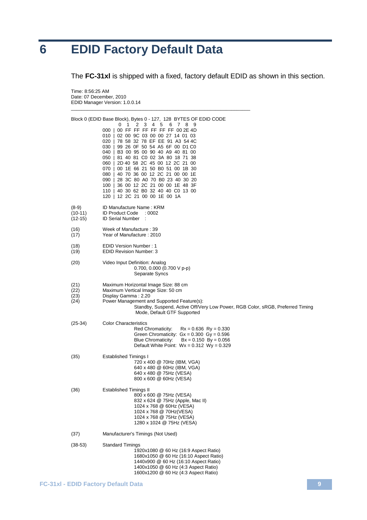## <span id="page-11-0"></span>**6 EDID Factory Default Data**

Time: 8:56:25 AM

The **FC-31xl** is shipped with a fixed, factory default EDID as shown in this section.

Date: 07 December, 2010 EDID Manager Version: 1.0.0.14 \_\_\_\_\_\_\_\_\_\_\_\_\_\_\_\_\_\_\_\_\_\_\_\_\_\_\_\_\_\_\_\_\_\_\_\_\_\_\_\_\_\_\_\_\_\_\_\_\_\_\_\_\_\_\_\_\_\_\_\_\_\_\_\_\_\_\_ Block 0 (EDID Base Block), Bytes 0 - 127, 128 BYTES OF EDID CODE 0 1 2 3 4 5 6 7 8 9 000 | 00 FF FF FF FF FF FF 00 2E 4D 010 | 02 00 9C 03 00 00 27 14 01 03 020 | 78 58 32 78 EF EE 91 A3 54 4C 030 | 99 26 0F 50 54 A5 6F 00 D1 C0<br>040 | B3 00 95 00 90 40 A9 40 81 00 B3 00 95 00 90 40 A9 40 81 00 050 | 81 40 81 C0 02 3A 80 18 71 38<br>060 | 2D 40 58 2C 45 00 12 2C 21 00 2D 40 58 2C 45 00 12 2C 21 00 000 | 22 40 50 20 40 60 12 20 21 60<br>070 | 00 1E 66 21 50 B0 51 00 1B 30<br>080 | 40 70 36 00 12 2C 21 00 00 1E 080 | 40 70 36 00 12 2C 21 00 00 1E 090 | 28 3C 80 A0 70 B0 23 40 30 20 100 | 36 00 12 2C 21 00 00 1E 48 3F 110 | 40 30 62 B0 32 40 40 C0 13 00 120 | 12 2C 21 00 00 1E 00 1A (8-9) ID Manufacture Name : KRM<br>(10-11) ID Product Code : 0002 (10-11) ID Product Code : 0002 ID Serial Number (16) Week of Manufacture : 39 Year of Manufacture : 2010 (18) EDID Version Number : 1 **EDID Revision Number: 3** (20) Video Input Definition: Analog 0.700, 0.000 (0.700 V p-p) Separate Syncs (21) Maximum Horizontal Image Size: 88 cm<br>(22) Maximum Vertical Image Size: 50 cm (22) Maximum Vertical Image Size: 50 cm (23) Display Gamma : 2.20 Power Management and Supported Feature(s): Standby, Suspend, Active Off/Very Low Power, RGB Color, sRGB, Preferred Timing Mode, Default GTF Supported (25-34) Color Characteristics Red Chromaticity:  $Rx = 0.636$  Ry = 0.330 Green Chromaticity: Gx = 0.300 Gy = 0.596 Blue Chromaticity: Bx = 0.150 By = 0.056 Default White Point: Wx = 0.312 Wy = 0.329 (35) Established Timings I 720 x 400 @ 70Hz (IBM, VGA) 640 x 480 @ 60Hz (IBM, VGA) 640 x 480 @ 75Hz (VESA) 800 x 600 @ 60Hz (VESA) (36) Established Timings II 800 x 600 @ 75Hz (VESA) 832 x 624 @ 75Hz (Apple, Mac II) 1024 x 768 @ 60Hz (VESA) 1024 x 768 @ 70Hz(VESA) 1024 x 768 @ 75Hz (VESA) 1280 x 1024 @ 75Hz (VESA) (37) Manufacturer's Timings (Not Used) (38-53) Standard Timings 1920x1080 @ 60 Hz (16:9 Aspect Ratio) 1680x1050 @ 60 Hz (16:10 Aspect Ratio) 1440x900 @ 60 Hz (16:10 Aspect Ratio) 1400x1050 @ 60 Hz (4:3 Aspect Ratio) 1600x1200 @ 60 Hz (4:3 Aspect Ratio)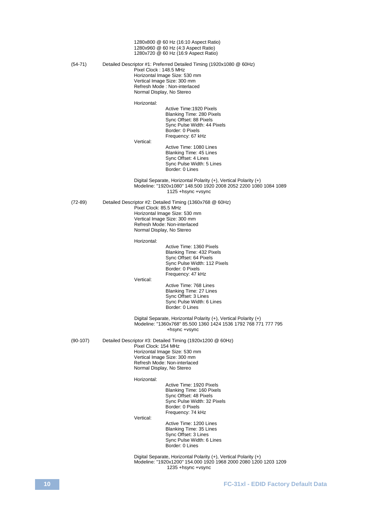1280x800 @ 60 Hz (16:10 Aspect Ratio) 1280x960 @ 60 Hz (4:3 Aspect Ratio) 1280x720 @ 60 Hz (16:9 Aspect Ratio) (54-71) Detailed Descriptor #1: Preferred Detailed Timing (1920x1080 @ 60Hz) Pixel Clock : 148.5 MHz Horizontal Image Size: 530 mm Vertical Image Size: 300 mm Refresh Mode : Non-interlaced Normal Display, No Stereo Horizontal: Active Time:1920 Pixels Blanking Time: 280 Pixels Sync Offset: 88 Pixels Sync Pulse Width: 44 Pixels Border: 0 Pixels Frequency: 67 kHz Vertical: Active Time: 1080 Lines Blanking Time: 45 Lines Sync Offset: 4 Lines Sync Pulse Width: 5 Lines Border: 0 Lines Digital Separate, Horizontal Polarity (+), Vertical Polarity (+) Modeline: "1920x1080" 148.500 1920 2008 2052 2200 1080 1084 1089 1125 +hsync +vsync (72-89) Detailed Descriptor #2: Detailed Timing (1360x768 @ 60Hz) Pixel Clock: 85.5 MHz Horizontal Image Size: 530 mm Vertical Image Size: 300 mm Refresh Mode: Non-interlaced Normal Display, No Stereo Horizontal: Active Time: 1360 Pixels Blanking Time: 432 Pixels Sync Offset: 64 Pixels Sync Pulse Width: 112 Pixels Border: 0 Pixels Frequency: 47 kHz Vertical: Active Time: 768 Lines Blanking Time: 27 Lines Sync Offset: 3 Lines Sync Pulse Width: 6 Lines Border: 0 Lines Digital Separate, Horizontal Polarity (+), Vertical Polarity (+) Modeline: "1360x768" 85.500 1360 1424 1536 1792 768 771 777 795 +hsync +vsync (90-107) Detailed Descriptor #3: Detailed Timing (1920x1200 @ 60Hz) Pixel Clock: 154 MHz Horizontal Image Size: 530 mm Vertical Image Size: 300 mm Refresh Mode: Non-interlaced Normal Display, No Stereo Horizontal: Active Time: 1920 Pixels Blanking Time: 160 Pixels Sync Offset: 48 Pixels Sync Pulse Width: 32 Pixels Border: 0 Pixels Frequency: 74 kHz Vertical: Active Time: 1200 Lines Blanking Time: 35 Lines Sync Offset: 3 Lines Sync Pulse Width: 6 Lines Border: 0 Lines Digital Separate, Horizontal Polarity (+), Vertical Polarity (+) Modeline: "1920x1200" 154.000 1920 1968 2000 2080 1200 1203 1209 1235 +hsync +vsync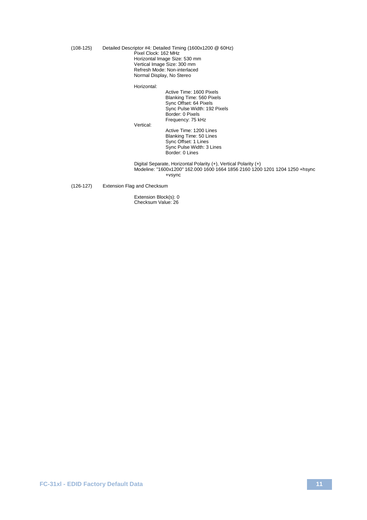(108-125) Detailed Descriptor #4: Detailed Timing (1600x1200 @ 60Hz) Pixel Clock: 162 MHz Horizontal Image Size: 530 mm Vertical Image Size: 300 mm Refresh Mode: Non-interlaced Normal Display, No Stereo

Horizontal:

Active Time: 1600 Pixels Blanking Time: 560 Pixels Sync Offset: 64 Pixels Sync Pulse Width: 192 Pixels Border: 0 Pixels Frequency: 75 kHz

Vertical:

Active Time: 1200 Lines Blanking Time: 50 Lines Sync Offset: 1 Lines Sync Pulse Width: 3 Lines Border: 0 Lines

Digital Separate, Horizontal Polarity (+), Vertical Polarity (+) Modeline: "1600x1200" 162.000 1600 1664 1856 2160 1200 1201 1204 1250 +hsync +vsync

(126-127) Extension Flag and Checksum

Extension Block(s): 0 Checksum Value: 26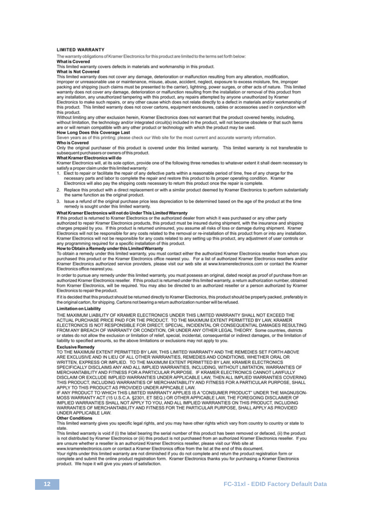### **I IMITED WARRANTY**

The warranty obligations of Kramer Electronics for this product are limited to the terms set forth below:

### What is Covered

This limited warranty covers defects in materials and workmanship in this product

### **What is Not Covered**

This limited warranty does not cover any damage, deterioration or malfunction resulting from any alteration, modification, improper or unreasonable use or maintenance, misuse, abuse, accident, neglect, exposure to excess moisture, fire, improper packing and shipping (such claims must be presented to the carrier), lightning, power surges, or other acts of nature. This limited warranty does not cover any damage, deterioration or malfunction resulting from the installation or removal of this product from any installation, any unauthorized tampering with this product, any repairs attempted by anyone unauthorized by Kramer Electronics to make such repairs, or any other cause which does not relate directly to a defect in materials and/or workmanship of

this product. This limited warranty does not cover cartons, equipment enclosures, cables or accessories used in conjunction with this product.

Without limiting any other exclusion herein, Kramer Electronics does not warrant that the product covered hereby, including, without limitation, the technology and/or integrated circuit(s) included in the product, will not become obsolete or that such items are or will remain compatible with any other product or technology with which the product may be used.

### **How Long Does this Coverage Last**

Seven years as of this printing; please check our Web site for the most current and accurate warranty information. **Who is Covered** 

Only the original purchaser of this product is covered under this limited warranty. This limited warranty is not transferable to subsequent purchasers or owners of this product.

### What Kramer Electronics will do

Kramer Electronics will, at its sole option, provide one of the following three remedies to whatever extent it shall deem necessary to satisfy a proper claim under this limited warranty:

- 1. Elect to repair or facilitate the repair of any defective parts within a reasonable period of time, free of any charge for the necessary parts and labor to complete the repair and restore this product to its proper operating condition. Kramer Electronics will also pay the shipping costs necessary to return this product once the repair is complete.
- 2. Replace this product with a direct replacement or with a similar product deemed by Kramer Electronics to perform substantially the same function as the original product.
- 3. Issue a refund of the original purchase price less depreciation to be determined based on the age of the product at the time remedy is sought under this limited warranty.

What Kramer Electronics will not do Under This Limited Warranty<br>If this product is returned to Kramer Electronics or the authorized dealer from which it was purchased or any other party authorized to repair Kramer Electronics products, this product must be insured during shipment, with the insurance and shipping charges prepaid by you. If this product is returned uninsured, you assume all risks of loss or damage during shipment. Kramer Electronics will not be responsible for any costs related to the removal or re-installation of this product from or into any installation. Kramer Electronics will not be responsible for any costs related to any setting up this product, any adjustment of user controls or any programming required for a specific installation of this product.<br>How to Obtain a Remedy under this Limited Warranty

To obtain a remedy under this limited warranty, you must contact either the authorized Kramer Electronics reseller from whom you purchased this product or the Kramer Electronics office nearest you. For a list of authorized Kramer Electronics resellers and/or Kramer Electronics authorized service providers, please visit our web site at www.kramerelectronics.com or contact the Kramer Electronics office nearest you.

In order to pursue any remedy under this limited warranty, you must possess an original, dated receipt as proof of purchase from an authorized Kramer Electronics reseller. If this product is returned under this limited warranty, a return authorization number, obtained from Kramer Electronics, will be required. You may also be directed to an authorized reseller or a person authorized by Kramer Electronics to repair the product.

If it is decided that this product should be returned directly to Kramer Electronics, this product should be properly packed, preferably in the original carton, for shipping. Cartons not bearing a return authorization number will be refused.

### **Limitation on Liability**

THE MAXIMUM LIABILITY OF KRAMER ELECTRONICS UNDER THIS LIMITED WARRANTY SHALL NOT EXCEED THE ACTUAL PURCHASE PRICE PAID FOR THE PRODUCT. TO THE MAXIMUM EXTENT PERMITTED BY LAW, KRAMER ELECTRONICS IS NOT RESPONSIBLE FOR DIRECT, SPECIAL, INCIDENTAL OR CONSEQUENTIAL DAMAGES RESULTING FROM ANY BREACH OF WARRANTY OR CONDITION, OR UNDER ANY OTHER LEGAL THEORY. Some countries, districts or states do not allow the exclusion or limitation of relief, special, incidental, consequential or indirect damages, or the limitation of liability to specified amounts, so the above limitations or exclusions may not apply to you.

### **Exclusive Remedy**

TO THE MAXIMUM EXTENT PERMITTED BY LAW, THIS LIMITED WARRANTY AND THE REMEDIES SET FORTH ABOVE ARE EXCLUSIVE AND IN LIEU OF ALL OTHER WARRANTIES, REMEDIES AND CONDITIONS, WHETHER ORAL OR WRITTEN, EXPRESS OR IMPLIED. TO THE MAXIMUM EXTENT PERMITTED BY LAW, KRAMER ELECTRONICS SPECIFICALLY DISCLAIMS ANY AND ALL IMPLIED WARRANTIES, INCLUDING, WITHOUT LIMITATION, WARRANTIES OF MERCHANTABILITY AND FITNESS FOR A PARTICULAR PURPOSE. IF KRAMER ELECTRONICS CANNOT LAWFULLY DISCLAIM OR EXCLUDE IMPLIED WARRANTIES UNDER APPLICABLE LAW, THEN ALL IMPLIED WARRANTIES COVERING THIS PRODUCT, INCLUDING WARRANTIES OF MERCHANTABILITY AND FITNESS FOR A PARTICULAR PURPOSE, SHALL APPLY TO THIS PRODUCT AS PROVIDED UNDER APPICABLE LAW.

IF ANY PRODUCT TO WHICH THIS LIMITED WARRANTY APPLIES IS A "CONSUMER PRODUCT" UNDER THE MAGNUSON-MOSS WARRANTY ACT (15 U.S.C.A. §2301, ET SEQ.) OR OTHER APPICABLE LAW, THE FOREGOING DISCLAIMER OF IMPLIED WARRANTIES SHALL NOT APPLY TO YOU, AND ALL IMPLIED WARRANTIES ON THIS PRODUCT, INCLUDING WARRANTIES OF MERCHANTABILITY AND FITNESS FOR THE PARTICULAR PURPOSE, SHALL APPLY AS PROVIDED UNDER APPLICABLE LAW.

### **Other Conditions**

This limited warranty gives you specific legal rights, and you may have other rights which vary from country to country or state to state.

This limited warranty is void if (i) the label bearing the serial number of this product has been removed or defaced, (ii) the product is not distributed by Kramer Electronics or (iii) this product is not purchased from an authorized Kramer Electronics reseller. If you are unsure whether a reseller is an authorized Kramer Electronics reseller, please visit our Web site at

www.kramerelectronics.com or contact a Kramer Electronics office from the list at the end of this document.

Your rights under this limited warranty are not diminished if you do not complete and return the product registration form or complete and submit the online product registration form. Kramer Electronics thanks you for purchasing a Kramer Electronics product. We hope it will give you years of satisfaction.